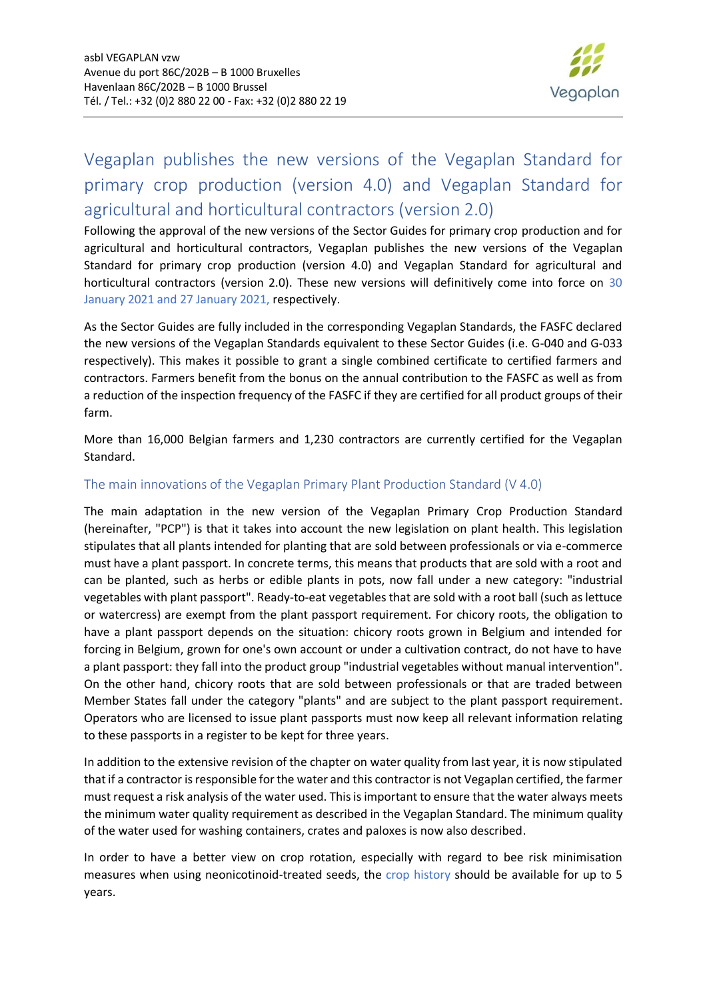

## Vegaplan publishes the new versions of the Vegaplan Standard for primary crop production (version 4.0) and Vegaplan Standard for agricultural and horticultural contractors (version 2.0)

Following the approval of the new versions of the Sector Guides for primary crop production and for agricultural and horticultural contractors, Vegaplan publishes the new versions of the Vegaplan Standard for primary crop production (version 4.0) and Vegaplan Standard for agricultural and horticultural contractors (version 2.0). These new versions will definitively come into force on 30 January 2021 and 27 January 2021, respectively.

As the Sector Guides are fully included in the corresponding Vegaplan Standards, the FASFC declared the new versions of the Vegaplan Standards equivalent to these Sector Guides (i.e. G-040 and G-033 respectively). This makes it possible to grant a single combined certificate to certified farmers and contractors. Farmers benefit from the bonus on the annual contribution to the FASFC as well as from a reduction of the inspection frequency of the FASFC if they are certified for all product groups of their farm.

More than 16,000 Belgian farmers and 1,230 contractors are currently certified for the Vegaplan Standard.

## The main innovations of the Vegaplan Primary Plant Production Standard (V 4.0)

The main adaptation in the new version of the Vegaplan Primary Crop Production Standard (hereinafter, "PCP") is that it takes into account the new legislation on plant health. This legislation stipulates that all plants intended for planting that are sold between professionals or via e-commerce must have a plant passport. In concrete terms, this means that products that are sold with a root and can be planted, such as herbs or edible plants in pots, now fall under a new category: "industrial vegetables with plant passport". Ready-to-eat vegetables that are sold with a root ball (such as lettuce or watercress) are exempt from the plant passport requirement. For chicory roots, the obligation to have a plant passport depends on the situation: chicory roots grown in Belgium and intended for forcing in Belgium, grown for one's own account or under a cultivation contract, do not have to have a plant passport: they fall into the product group "industrial vegetables without manual intervention". On the other hand, chicory roots that are sold between professionals or that are traded between Member States fall under the category "plants" and are subject to the plant passport requirement. Operators who are licensed to issue plant passports must now keep all relevant information relating to these passports in a register to be kept for three years.

In addition to the extensive revision of the chapter on water quality from last year, it is now stipulated that if a contractor is responsible for the water and this contractor is not Vegaplan certified, the farmer must request a risk analysis of the water used. This is important to ensure that the water always meets the minimum water quality requirement as described in the Vegaplan Standard. The minimum quality of the water used for washing containers, crates and paloxes is now also described.

In order to have a better view on crop rotation, especially with regard to bee risk minimisation measures when using neonicotinoid-treated seeds, the crop history should be available for up to 5 years.